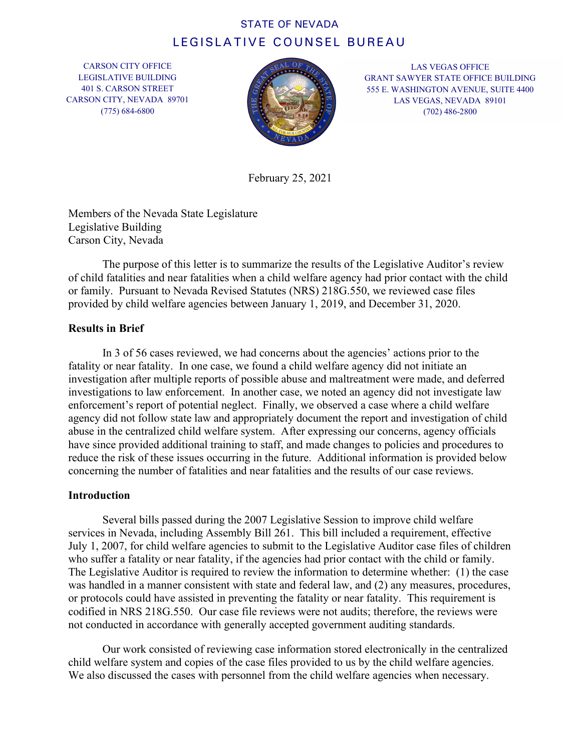# STATE OF NEVADA LEGISLATIVE COUNSEL BUREAU

CARSON CITY OFFICE LEGISLATIVE BUILDING 401 S. CARSON STREET CARSON CITY, NEVADA 89701 (775) 684-6800



LAS VEGAS OFFICE GRANT SAWYER STATE OFFICE BUILDING 555 E. WASHINGTON AVENUE, SUITE 4400 LAS VEGAS, NEVADA 89101 (702) 486-2800

February 25, 2021

Members of the Nevada State Legislature Legislative Building Carson City, Nevada

The purpose of this letter is to summarize the results of the Legislative Auditor's review of child fatalities and near fatalities when a child welfare agency had prior contact with the child or family. Pursuant to Nevada Revised Statutes (NRS) 218G.550, we reviewed case files provided by child welfare agencies between January 1, 2019, and December 31, 2020.

### **Results in Brief**

In 3 of 56 cases reviewed, we had concerns about the agencies' actions prior to the fatality or near fatality. In one case, we found a child welfare agency did not initiate an investigation after multiple reports of possible abuse and maltreatment were made, and deferred investigations to law enforcement. In another case, we noted an agency did not investigate law enforcement's report of potential neglect. Finally, we observed a case where a child welfare agency did not follow state law and appropriately document the report and investigation of child abuse in the centralized child welfare system. After expressing our concerns, agency officials have since provided additional training to staff, and made changes to policies and procedures to reduce the risk of these issues occurring in the future. Additional information is provided below concerning the number of fatalities and near fatalities and the results of our case reviews.

## **Introduction**

Several bills passed during the 2007 Legislative Session to improve child welfare services in Nevada, including Assembly Bill 261. This bill included a requirement, effective July 1, 2007, for child welfare agencies to submit to the Legislative Auditor case files of children who suffer a fatality or near fatality, if the agencies had prior contact with the child or family. The Legislative Auditor is required to review the information to determine whether: (1) the case was handled in a manner consistent with state and federal law, and (2) any measures, procedures, or protocols could have assisted in preventing the fatality or near fatality. This requirement is codified in NRS 218G.550. Our case file reviews were not audits; therefore, the reviews were not conducted in accordance with generally accepted government auditing standards.

Our work consisted of reviewing case information stored electronically in the centralized child welfare system and copies of the case files provided to us by the child welfare agencies. We also discussed the cases with personnel from the child welfare agencies when necessary.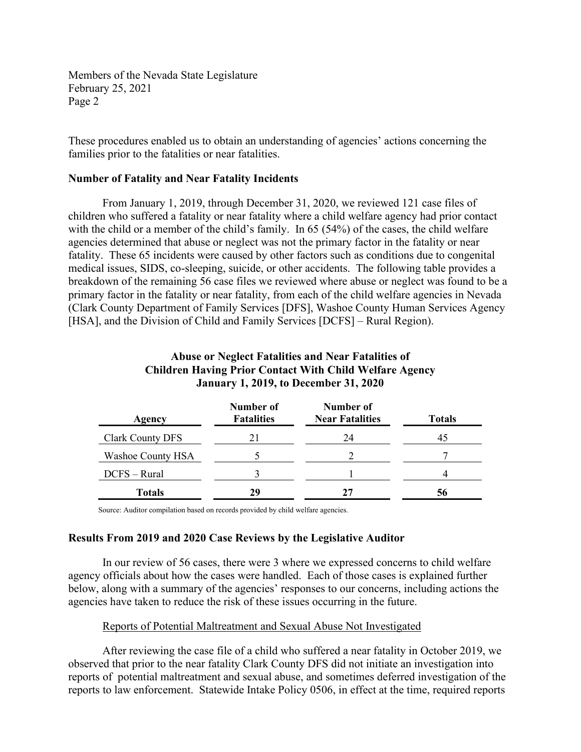Members of the Nevada State Legislature February 25, 2021 Page 2

These procedures enabled us to obtain an understanding of agencies' actions concerning the families prior to the fatalities or near fatalities.

#### **Number of Fatality and Near Fatality Incidents**

From January 1, 2019, through December 31, 2020, we reviewed 121 case files of children who suffered a fatality or near fatality where a child welfare agency had prior contact with the child or a member of the child's family. In 65 (54%) of the cases, the child welfare agencies determined that abuse or neglect was not the primary factor in the fatality or near fatality. These 65 incidents were caused by other factors such as conditions due to congenital medical issues, SIDS, co-sleeping, suicide, or other accidents. The following table provides a breakdown of the remaining 56 case files we reviewed where abuse or neglect was found to be a primary factor in the fatality or near fatality, from each of the child welfare agencies in Nevada (Clark County Department of Family Services [DFS], Washoe County Human Services Agency [HSA], and the Division of Child and Family Services [DCFS] – Rural Region).

| <b>Abuse or Neglect Fatalities and Near Fatalities of</b>      |  |
|----------------------------------------------------------------|--|
| <b>Children Having Prior Contact With Child Welfare Agency</b> |  |
| <b>January 1, 2019, to December 31, 2020</b>                   |  |

| Agency                  | Number of<br><b>Fatalities</b> | Number of<br><b>Near Fatalities</b> | <b>Totals</b> |
|-------------------------|--------------------------------|-------------------------------------|---------------|
| <b>Clark County DFS</b> | 21                             | 24                                  |               |
| Washoe County HSA       |                                |                                     |               |
| DCFS – Rural            |                                |                                     |               |
| <b>Totals</b>           | 29                             | 27                                  | 56            |

Source: Auditor compilation based on records provided by child welfare agencies.

#### **Results From 2019 and 2020 Case Reviews by the Legislative Auditor**

In our review of 56 cases, there were 3 where we expressed concerns to child welfare agency officials about how the cases were handled. Each of those cases is explained further below, along with a summary of the agencies' responses to our concerns, including actions the agencies have taken to reduce the risk of these issues occurring in the future.

#### Reports of Potential Maltreatment and Sexual Abuse Not Investigated

After reviewing the case file of a child who suffered a near fatality in October 2019, we observed that prior to the near fatality Clark County DFS did not initiate an investigation into reports of potential maltreatment and sexual abuse, and sometimes deferred investigation of the reports to law enforcement. Statewide Intake Policy 0506, in effect at the time, required reports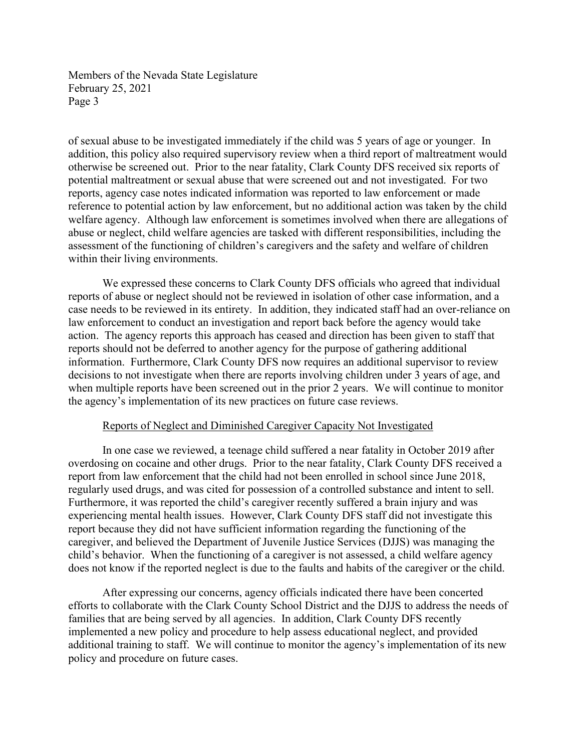Members of the Nevada State Legislature February 25, 2021 Page 3

of sexual abuse to be investigated immediately if the child was 5 years of age or younger. In addition, this policy also required supervisory review when a third report of maltreatment would otherwise be screened out. Prior to the near fatality, Clark County DFS received six reports of potential maltreatment or sexual abuse that were screened out and not investigated. For two reports, agency case notes indicated information was reported to law enforcement or made reference to potential action by law enforcement, but no additional action was taken by the child welfare agency. Although law enforcement is sometimes involved when there are allegations of abuse or neglect, child welfare agencies are tasked with different responsibilities, including the assessment of the functioning of children's caregivers and the safety and welfare of children within their living environments.

We expressed these concerns to Clark County DFS officials who agreed that individual reports of abuse or neglect should not be reviewed in isolation of other case information, and a case needs to be reviewed in its entirety. In addition, they indicated staff had an over-reliance on law enforcement to conduct an investigation and report back before the agency would take action. The agency reports this approach has ceased and direction has been given to staff that reports should not be deferred to another agency for the purpose of gathering additional information. Furthermore, Clark County DFS now requires an additional supervisor to review decisions to not investigate when there are reports involving children under 3 years of age, and when multiple reports have been screened out in the prior 2 years. We will continue to monitor the agency's implementation of its new practices on future case reviews.

#### Reports of Neglect and Diminished Caregiver Capacity Not Investigated

In one case we reviewed, a teenage child suffered a near fatality in October 2019 after overdosing on cocaine and other drugs. Prior to the near fatality, Clark County DFS received a report from law enforcement that the child had not been enrolled in school since June 2018, regularly used drugs, and was cited for possession of a controlled substance and intent to sell. Furthermore, it was reported the child's caregiver recently suffered a brain injury and was experiencing mental health issues. However, Clark County DFS staff did not investigate this report because they did not have sufficient information regarding the functioning of the caregiver, and believed the Department of Juvenile Justice Services (DJJS) was managing the child's behavior. When the functioning of a caregiver is not assessed, a child welfare agency does not know if the reported neglect is due to the faults and habits of the caregiver or the child.

After expressing our concerns, agency officials indicated there have been concerted efforts to collaborate with the Clark County School District and the DJJS to address the needs of families that are being served by all agencies. In addition, Clark County DFS recently implemented a new policy and procedure to help assess educational neglect, and provided additional training to staff. We will continue to monitor the agency's implementation of its new policy and procedure on future cases.